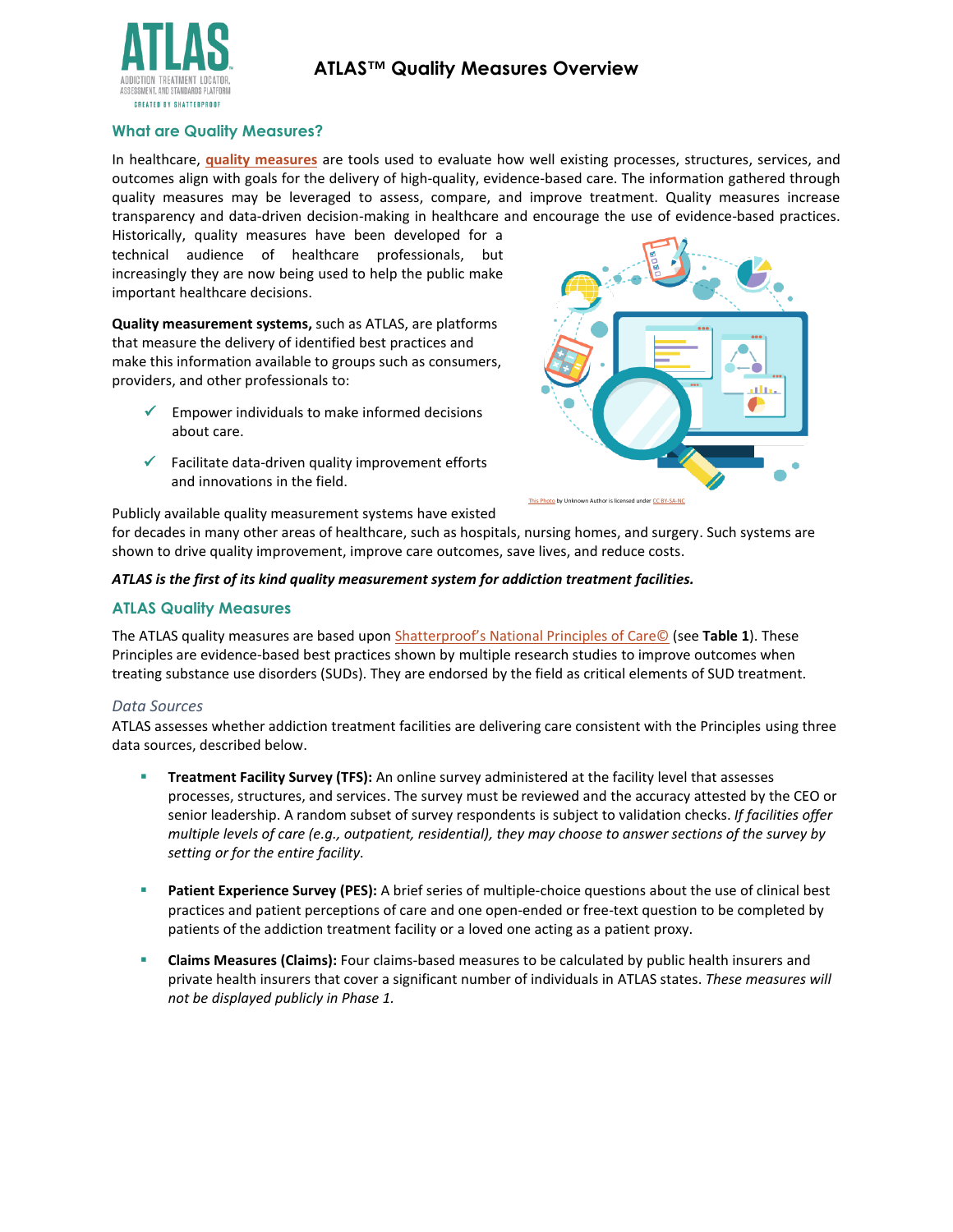



## **What are Quality Measures?**

In healthcare, **[quality measures](https://www.cms.gov/Medicare/Quality-Initiatives-Patient-Assessment-Instruments/QualityMeasures)** are tools used to evaluate how well existing processes, structures, services, and outcomes align with goals for the delivery of high-quality, evidence-based care. The information gathered through quality measures may be leveraged to assess, compare, and improve treatment. Quality measures increase transparency and data-driven decision-making in healthcare and encourage the use of evidence-based practices.

Historically, quality measures have been developed for a technical audience of healthcare professionals, but increasingly they are now being used to help the public make important healthcare decisions.

**Quality measurement systems,** such as ATLAS, are platforms that measure the delivery of identified best practices and make this information available to groups such as consumers, providers, and other professionals to:

- $\checkmark$  Empower individuals to make informed decisions about care.
- $\checkmark$  Facilitate data-driven quality improvement efforts and innovations in the field.



Publicly available quality measurement systems have existed

for decades in many other areas of healthcare, such as hospitals, nursing homes, and surgery. Such systems are shown to drive quality improvement, improve care outcomes, save lives, and reduce costs.

## *ATLAS is the first of its kind quality measurement system for addiction treatment facilities.*

## **ATLAS Quality Measures**

The ATLAS quality measures are based upon Shatterproof's [National Principles of Care©](https://www.shatterproof.org/shatterproof-national-principles-care) (see **Table 1**). These Principles are evidence-based best practices shown by multiple research studies to improve outcomes when treating substance use disorders (SUDs). They are endorsed by the field as critical elements of SUD treatment.

#### *Data Sources*

ATLAS assesses whether addiction treatment facilities are delivering care consistent with the Principles using three data sources, described below.

- **Treatment Facility Survey (TFS):** An online survey administered at the facility level that assesses processes, structures, and services. The survey must be reviewed and the accuracy attested by the CEO or senior leadership. A random subset of survey respondents is subject to validation checks. *If facilities offer multiple levels of care (e.g., outpatient, residential), they may choose to answer sections of the survey by setting or for the entire facility.*
- Patient Experience Survey (PES): A brief series of multiple-choice questions about the use of clinical best practices and patient perceptions of care and one open-ended or free-text question to be completed by patients of the addiction treatment facility or a loved one acting as a patient proxy.
- **Claims Measures (Claims):** Four claims-based measures to be calculated by public health insurers and private health insurers that cover a significant number of individuals in ATLAS states. *These measures will not be displayed publicly in Phase 1.*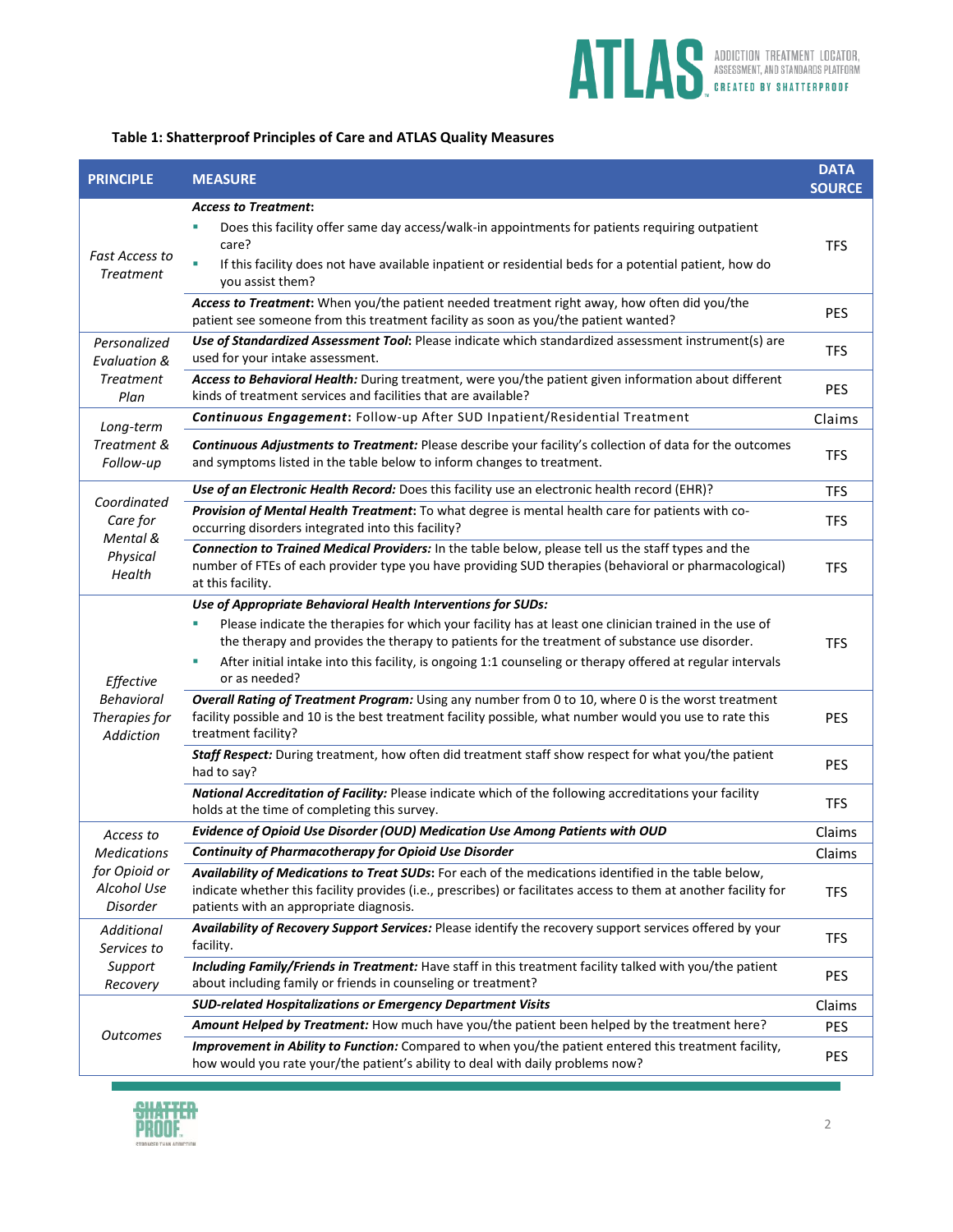

| Table 1: Shatterproof Principles of Care and ATLAS Quality Measures |  |  |  |
|---------------------------------------------------------------------|--|--|--|
|---------------------------------------------------------------------|--|--|--|

| <b>PRINCIPLE</b>                                                    | <b>MEASURE</b>                                                                                                                                                                                                                                                                                                                                                                                              | <b>DATA</b><br><b>SOURCE</b> |
|---------------------------------------------------------------------|-------------------------------------------------------------------------------------------------------------------------------------------------------------------------------------------------------------------------------------------------------------------------------------------------------------------------------------------------------------------------------------------------------------|------------------------------|
| Fast Access to<br><b>Treatment</b>                                  | <b>Access to Treatment:</b>                                                                                                                                                                                                                                                                                                                                                                                 |                              |
|                                                                     | Does this facility offer same day access/walk-in appointments for patients requiring outpatient<br>care?<br>If this facility does not have available inpatient or residential beds for a potential patient, how do<br>you assist them?                                                                                                                                                                      |                              |
|                                                                     | Access to Treatment: When you/the patient needed treatment right away, how often did you/the<br>patient see someone from this treatment facility as soon as you/the patient wanted?                                                                                                                                                                                                                         | <b>PES</b>                   |
| Personalized<br><b>Evaluation &amp;</b><br><b>Treatment</b><br>Plan | Use of Standardized Assessment Tool: Please indicate which standardized assessment instrument(s) are<br>used for your intake assessment.                                                                                                                                                                                                                                                                    | <b>TFS</b>                   |
|                                                                     | Access to Behavioral Health: During treatment, were you/the patient given information about different<br>kinds of treatment services and facilities that are available?                                                                                                                                                                                                                                     | <b>PES</b>                   |
| Long-term                                                           | Continuous Engagement: Follow-up After SUD Inpatient/Residential Treatment                                                                                                                                                                                                                                                                                                                                  | Claims                       |
| Treatment &<br>Follow-up                                            | Continuous Adjustments to Treatment: Please describe your facility's collection of data for the outcomes<br>and symptoms listed in the table below to inform changes to treatment.                                                                                                                                                                                                                          | <b>TFS</b>                   |
|                                                                     | Use of an Electronic Health Record: Does this facility use an electronic health record (EHR)?                                                                                                                                                                                                                                                                                                               | <b>TFS</b>                   |
| Coordinated<br>Care for<br>Mental &<br>Physical<br>Health           | Provision of Mental Health Treatment: To what degree is mental health care for patients with co-<br>occurring disorders integrated into this facility?                                                                                                                                                                                                                                                      | <b>TFS</b>                   |
|                                                                     | Connection to Trained Medical Providers: In the table below, please tell us the staff types and the<br>number of FTEs of each provider type you have providing SUD therapies (behavioral or pharmacological)<br>at this facility.                                                                                                                                                                           | <b>TFS</b>                   |
| Effective<br><b>Behavioral</b><br>Therapies for<br>Addiction        | Use of Appropriate Behavioral Health Interventions for SUDs:<br>Please indicate the therapies for which your facility has at least one clinician trained in the use of<br>the therapy and provides the therapy to patients for the treatment of substance use disorder.<br>After initial intake into this facility, is ongoing 1:1 counseling or therapy offered at regular intervals<br>٠<br>or as needed? | <b>TFS</b>                   |
|                                                                     | Overall Rating of Treatment Program: Using any number from 0 to 10, where 0 is the worst treatment<br>facility possible and 10 is the best treatment facility possible, what number would you use to rate this<br>treatment facility?                                                                                                                                                                       | <b>PES</b>                   |
|                                                                     | Staff Respect: During treatment, how often did treatment staff show respect for what you/the patient<br>had to say?                                                                                                                                                                                                                                                                                         | <b>PES</b>                   |
|                                                                     | National Accreditation of Facility: Please indicate which of the following accreditations your facility<br>holds at the time of completing this survey.                                                                                                                                                                                                                                                     | <b>TFS</b>                   |
| Access to                                                           | Evidence of Opioid Use Disorder (OUD) Medication Use Among Patients with OUD                                                                                                                                                                                                                                                                                                                                | Claims                       |
| Medications                                                         | <b>Continuity of Pharmacotherapy for Opioid Use Disorder</b>                                                                                                                                                                                                                                                                                                                                                | Claims                       |
| for Opioid or<br>Alcohol Use<br>Disorder                            | Availability of Medications to Treat SUDs: For each of the medications identified in the table below,<br>indicate whether this facility provides (i.e., prescribes) or facilitates access to them at another facility for<br>patients with an appropriate diagnosis.                                                                                                                                        | <b>TFS</b>                   |
| Additional<br>Services to                                           | Availability of Recovery Support Services: Please identify the recovery support services offered by your<br>facility.                                                                                                                                                                                                                                                                                       | <b>TFS</b>                   |
| Support<br>Recovery                                                 | Including Family/Friends in Treatment: Have staff in this treatment facility talked with you/the patient<br>about including family or friends in counseling or treatment?                                                                                                                                                                                                                                   | <b>PES</b>                   |
|                                                                     | <b>SUD-related Hospitalizations or Emergency Department Visits</b>                                                                                                                                                                                                                                                                                                                                          | Claims                       |
| <b>Outcomes</b>                                                     | Amount Helped by Treatment: How much have you/the patient been helped by the treatment here?                                                                                                                                                                                                                                                                                                                | <b>PES</b>                   |
|                                                                     | Improvement in Ability to Function: Compared to when you/the patient entered this treatment facility,<br>how would you rate your/the patient's ability to deal with daily problems now?                                                                                                                                                                                                                     | <b>PES</b>                   |



×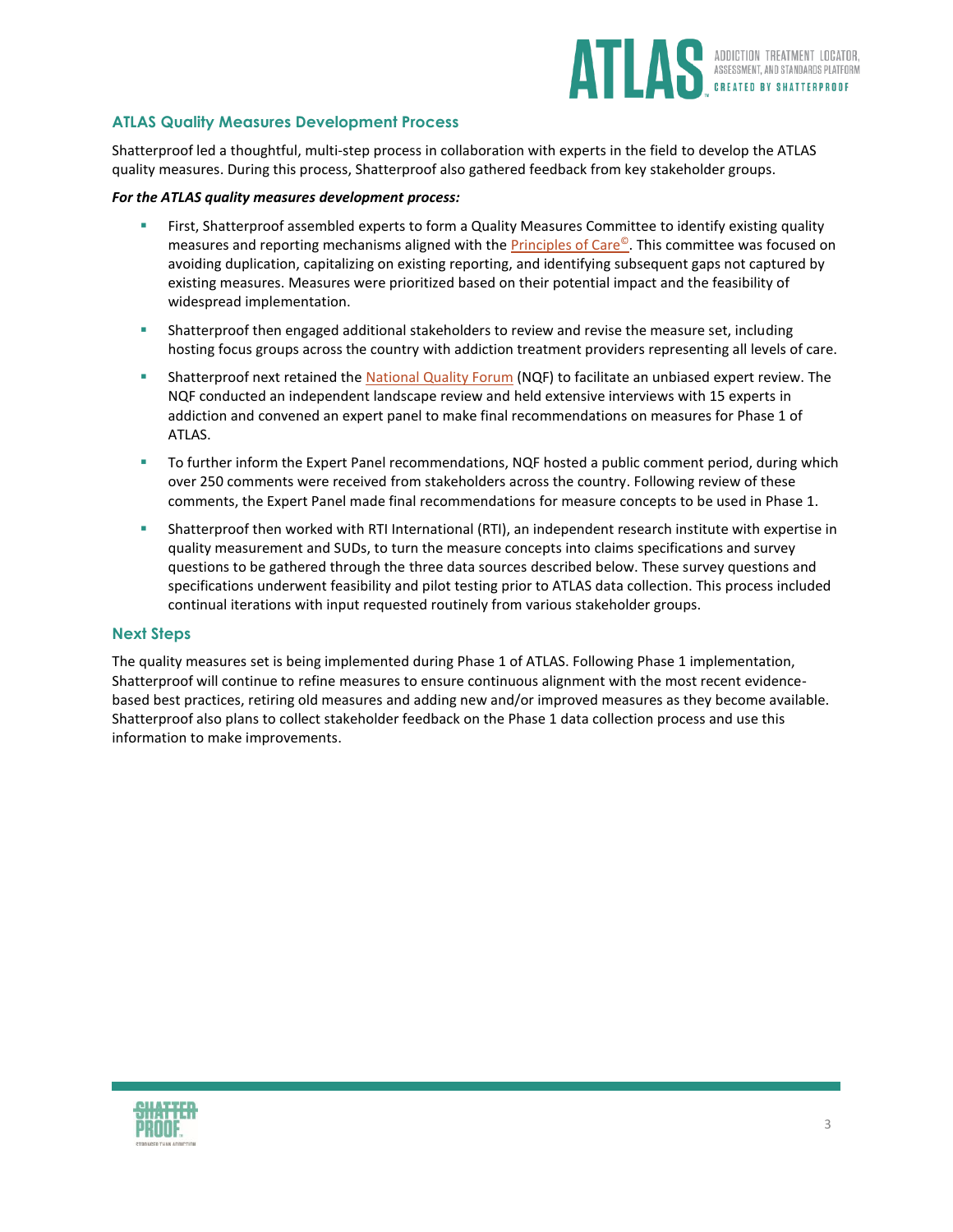

# **ATLAS Quality Measures Development Process**

Shatterproof led a thoughtful, multi-step process in collaboration with experts in the field to develop the ATLAS quality measures. During this process, Shatterproof also gathered feedback from key stakeholder groups.

#### *For the ATLAS quality measures development process:*

- First, Shatterproof assembled experts to form a Quality Measures Committee to identify existing quality measures and reporting mechanisms aligned with the **Principles of Care<sup>©</sup>.** This committee was focused on avoiding duplication, capitalizing on existing reporting, and identifying subsequent gaps not captured by existing measures. Measures were prioritized based on their potential impact and the feasibility of widespread implementation.
- **EXEDENT Shatterproof then engaged additional stakeholders to review and revise the measure set, including** hosting focus groups across the country with addiction treatment providers representing all levels of care.
- **EXECT** Shatterproof next retained the [National Quality Forum](https://www.qualityforum.org/Home.aspx) (NQF) to facilitate an unbiased expert review. The NQF conducted an independent landscape review and held extensive interviews with 15 experts in addiction and convened an expert panel to make final recommendations on measures for Phase 1 of ATLAS.
- **■** To further inform the Expert Panel recommendations, NQF hosted a public comment period, during which over 250 comments were received from stakeholders across the country. Following review of these comments, the Expert Panel made final recommendations for measure concepts to be used in Phase 1.
- Shatterproof then worked with RTI International (RTI), an independent research institute with expertise in quality measurement and SUDs, to turn the measure concepts into claims specifications and survey questions to be gathered through the three data sources described below. These survey questions and specifications underwent feasibility and pilot testing prior to ATLAS data collection. This process included continual iterations with input requested routinely from various stakeholder groups.

## **Next Steps**

The quality measures set is being implemented during Phase 1 of ATLAS. Following Phase 1 implementation, Shatterproof will continue to refine measures to ensure continuous alignment with the most recent evidencebased best practices, retiring old measures and adding new and/or improved measures as they become available. Shatterproof also plans to collect stakeholder feedback on the Phase 1 data collection process and use this information to make improvements.

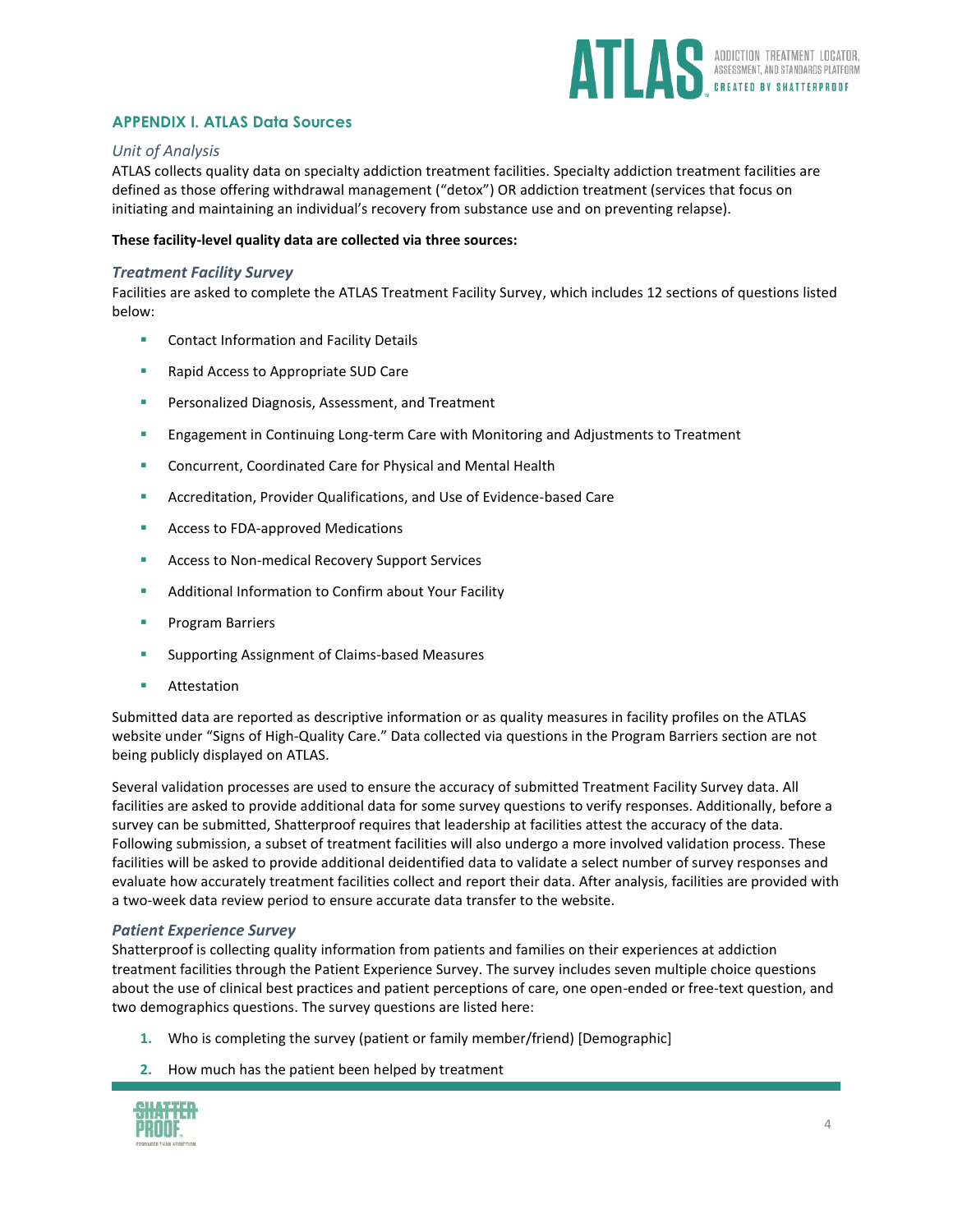

# **APPENDIX I. ATLAS Data Sources**

# *Unit of Analysis*

ATLAS collects quality data on specialty addiction treatment facilities. Specialty addiction treatment facilities are defined as those offering withdrawal management ("detox") OR addiction treatment (services that focus on initiating and maintaining an individual's recovery from substance use and on preventing relapse).

#### **These facility-level quality data are collected via three sources:**

## *Treatment Facility Survey*

Facilities are asked to complete the ATLAS Treatment Facility Survey, which includes 12 sections of questions listed below:

- **E** Contact Information and Facility Details
- Rapid Access to Appropriate SUD Care
- Personalized Diagnosis, Assessment, and Treatment
- **E** Engagement in Continuing Long-term Care with Monitoring and Adjustments to Treatment
- Concurrent, Coordinated Care for Physical and Mental Health
- Accreditation, Provider Qualifications, and Use of Evidence-based Care
- Access to FDA-approved Medications
- Access to Non-medical Recovery Support Services
- Additional Information to Confirm about Your Facility
- **Program Barriers**
- **E** Supporting Assignment of Claims-based Measures
- Attestation

Submitted data are reported as descriptive information or as quality measures in facility profiles on the ATLAS website under "Signs of High-Quality Care." Data collected via questions in the Program Barriers section are not being publicly displayed on ATLAS.

Several validation processes are used to ensure the accuracy of submitted Treatment Facility Survey data. All facilities are asked to provide additional data for some survey questions to verify responses. Additionally, before a survey can be submitted, Shatterproof requires that leadership at facilities attest the accuracy of the data. Following submission, a subset of treatment facilities will also undergo a more involved validation process. These facilities will be asked to provide additional deidentified data to validate a select number of survey responses and evaluate how accurately treatment facilities collect and report their data. After analysis, facilities are provided with a two-week data review period to ensure accurate data transfer to the website.

#### *Patient Experience Survey*

Shatterproof is collecting quality information from patients and families on their experiences at addiction treatment facilities through the Patient Experience Survey. The survey includes seven multiple choice questions about the use of clinical best practices and patient perceptions of care, one open-ended or free-text question, and two demographics questions. The survey questions are listed here:

- **1.** Who is completing the survey (patient or family member/friend) [Demographic]
- **2.** How much has the patient been helped by treatment

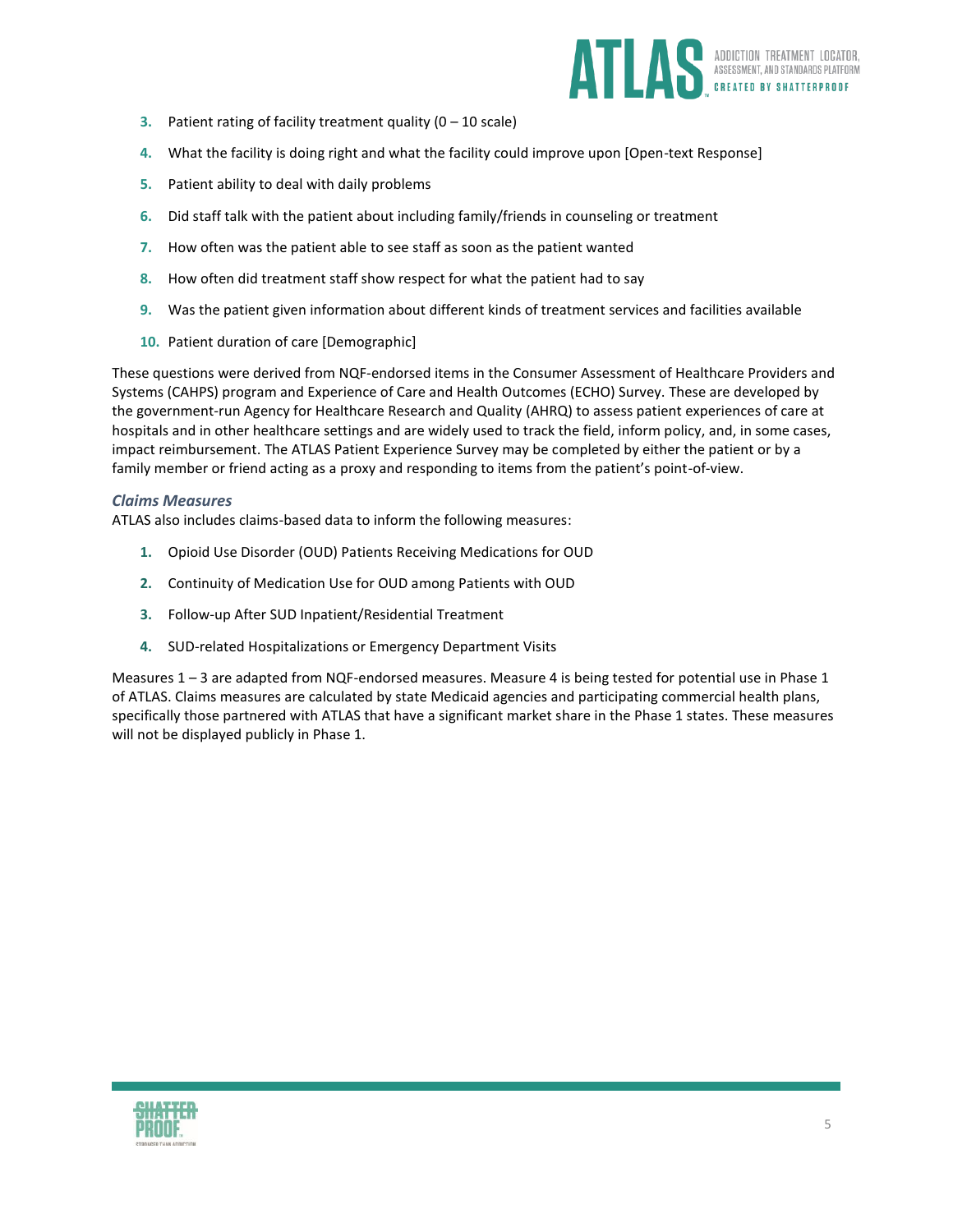

- **3.** Patient rating of facility treatment quality (0 10 scale)
- **4.** What the facility is doing right and what the facility could improve upon [Open-text Response]
- **5.** Patient ability to deal with daily problems
- **6.** Did staff talk with the patient about including family/friends in counseling or treatment
- **7.** How often was the patient able to see staff as soon as the patient wanted
- **8.** How often did treatment staff show respect for what the patient had to say
- **9.** Was the patient given information about different kinds of treatment services and facilities available
- **10.** Patient duration of care [Demographic]

These questions were derived from NQF-endorsed items in the Consumer Assessment of Healthcare Providers and Systems (CAHPS) program and Experience of Care and Health Outcomes (ECHO) Survey. These are developed by the government-run Agency for Healthcare Research and Quality (AHRQ) to assess patient experiences of care at hospitals and in other healthcare settings and are widely used to track the field, inform policy, and, in some cases, impact reimbursement. The ATLAS Patient Experience Survey may be completed by either the patient or by a family member or friend acting as a proxy and responding to items from the patient's point-of-view.

#### *Claims Measures*

ATLAS also includes claims-based data to inform the following measures:

- **1.** Opioid Use Disorder (OUD) Patients Receiving Medications for OUD
- **2.** Continuity of Medication Use for OUD among Patients with OUD
- **3.** Follow-up After SUD Inpatient/Residential Treatment
- **4.** SUD-related Hospitalizations or Emergency Department Visits

Measures 1 – 3 are adapted from NQF-endorsed measures. Measure 4 is being tested for potential use in Phase 1 of ATLAS. Claims measures are calculated by state Medicaid agencies and participating commercial health plans, specifically those partnered with ATLAS that have a significant market share in the Phase 1 states. These measures will not be displayed publicly in Phase 1.

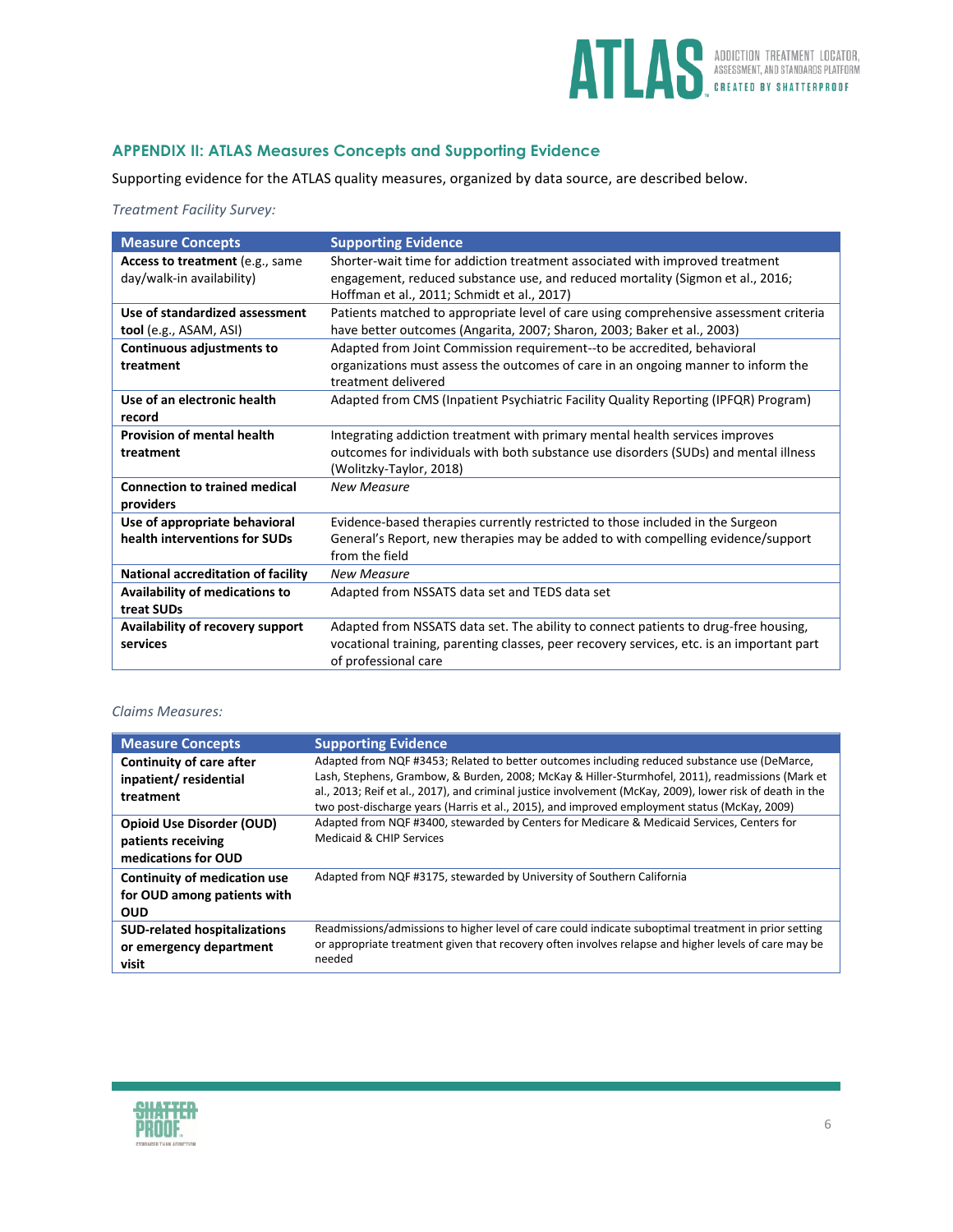

# **APPENDIX II: ATLAS Measures Concepts and Supporting Evidence**

Supporting evidence for the ATLAS quality measures, organized by data source, are described below.

#### *Treatment Facility Survey:*

| Access to treatment (e.g., same<br>Shorter-wait time for addiction treatment associated with improved treatment<br>day/walk-in availability)<br>engagement, reduced substance use, and reduced mortality (Sigmon et al., 2016;<br>Hoffman et al., 2011; Schmidt et al., 2017)<br>Use of standardized assessment<br>Patients matched to appropriate level of care using comprehensive assessment criteria<br>have better outcomes (Angarita, 2007; Sharon, 2003; Baker et al., 2003)<br>tool (e.g., ASAM, ASI) |
|---------------------------------------------------------------------------------------------------------------------------------------------------------------------------------------------------------------------------------------------------------------------------------------------------------------------------------------------------------------------------------------------------------------------------------------------------------------------------------------------------------------|
|                                                                                                                                                                                                                                                                                                                                                                                                                                                                                                               |
|                                                                                                                                                                                                                                                                                                                                                                                                                                                                                                               |
|                                                                                                                                                                                                                                                                                                                                                                                                                                                                                                               |
|                                                                                                                                                                                                                                                                                                                                                                                                                                                                                                               |
|                                                                                                                                                                                                                                                                                                                                                                                                                                                                                                               |
| Continuous adjustments to<br>Adapted from Joint Commission requirement--to be accredited, behavioral                                                                                                                                                                                                                                                                                                                                                                                                          |
| organizations must assess the outcomes of care in an ongoing manner to inform the<br>treatment                                                                                                                                                                                                                                                                                                                                                                                                                |
| treatment delivered                                                                                                                                                                                                                                                                                                                                                                                                                                                                                           |
| Use of an electronic health<br>Adapted from CMS (Inpatient Psychiatric Facility Quality Reporting (IPFQR) Program)                                                                                                                                                                                                                                                                                                                                                                                            |
| record                                                                                                                                                                                                                                                                                                                                                                                                                                                                                                        |
| <b>Provision of mental health</b><br>Integrating addiction treatment with primary mental health services improves                                                                                                                                                                                                                                                                                                                                                                                             |
| outcomes for individuals with both substance use disorders (SUDs) and mental illness<br>treatment                                                                                                                                                                                                                                                                                                                                                                                                             |
| (Wolitzky-Taylor, 2018)                                                                                                                                                                                                                                                                                                                                                                                                                                                                                       |
| <b>Connection to trained medical</b><br><b>New Measure</b>                                                                                                                                                                                                                                                                                                                                                                                                                                                    |
| providers                                                                                                                                                                                                                                                                                                                                                                                                                                                                                                     |
| Use of appropriate behavioral<br>Evidence-based therapies currently restricted to those included in the Surgeon                                                                                                                                                                                                                                                                                                                                                                                               |
| health interventions for SUDs<br>General's Report, new therapies may be added to with compelling evidence/support                                                                                                                                                                                                                                                                                                                                                                                             |
| from the field                                                                                                                                                                                                                                                                                                                                                                                                                                                                                                |
| <b>National accreditation of facility</b><br><b>New Measure</b>                                                                                                                                                                                                                                                                                                                                                                                                                                               |
| <b>Availability of medications to</b><br>Adapted from NSSATS data set and TEDS data set                                                                                                                                                                                                                                                                                                                                                                                                                       |
| treat SUDs                                                                                                                                                                                                                                                                                                                                                                                                                                                                                                    |
| Adapted from NSSATS data set. The ability to connect patients to drug-free housing,<br>Availability of recovery support                                                                                                                                                                                                                                                                                                                                                                                       |
| vocational training, parenting classes, peer recovery services, etc. is an important part<br>services                                                                                                                                                                                                                                                                                                                                                                                                         |
| of professional care                                                                                                                                                                                                                                                                                                                                                                                                                                                                                          |

#### *Claims Measures:*

| <b>Measure Concepts</b>                                                       | <b>Supporting Evidence</b>                                                                                                                                                                                                                                                                                                                                                                                    |
|-------------------------------------------------------------------------------|---------------------------------------------------------------------------------------------------------------------------------------------------------------------------------------------------------------------------------------------------------------------------------------------------------------------------------------------------------------------------------------------------------------|
| <b>Continuity of care after</b><br>inpatient/residential<br>treatment         | Adapted from NQF #3453; Related to better outcomes including reduced substance use (DeMarce,<br>Lash, Stephens, Grambow, & Burden, 2008; McKay & Hiller-Sturmhofel, 2011), readmissions (Mark et<br>al., 2013; Reif et al., 2017), and criminal justice involvement (McKay, 2009), lower risk of death in the<br>two post-discharge years (Harris et al., 2015), and improved employment status (McKay, 2009) |
| <b>Opioid Use Disorder (OUD)</b><br>patients receiving<br>medications for OUD | Adapted from NQF #3400, stewarded by Centers for Medicare & Medicaid Services, Centers for<br>Medicaid & CHIP Services                                                                                                                                                                                                                                                                                        |
| Continuity of medication use<br>for OUD among patients with<br><b>OUD</b>     | Adapted from NQF #3175, stewarded by University of Southern California                                                                                                                                                                                                                                                                                                                                        |
| <b>SUD-related hospitalizations</b><br>or emergency department<br>visit       | Readmissions/admissions to higher level of care could indicate suboptimal treatment in prior setting<br>or appropriate treatment given that recovery often involves relapse and higher levels of care may be<br>needed                                                                                                                                                                                        |